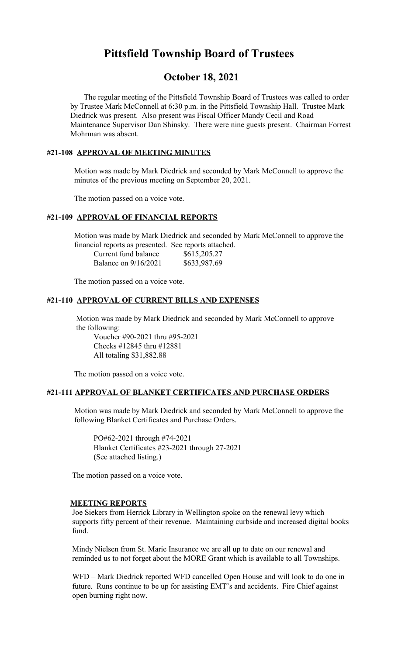# **Pittsfield Township Board of Trustees**

# **October 18, 2021**

 The regular meeting of the Pittsfield Township Board of Trustees was called to order by Trustee Mark McConnell at 6:30 p.m. in the Pittsfield Township Hall. Trustee Mark Diedrick was present. Also present was Fiscal Officer Mandy Cecil and Road Maintenance Supervisor Dan Shinsky. There were nine guests present. Chairman Forrest Mohrman was absent.

## **#21-108 APPROVAL OF MEETING MINUTES**

 Motion was made by Mark Diedrick and seconded by Mark McConnell to approve the minutes of the previous meeting on September 20, 2021.

The motion passed on a voice vote.

## **#21-109 APPROVAL OF FINANCIAL REPORTS**

 Motion was made by Mark Diedrick and seconded by Mark McConnell to approve the financial reports as presented. See reports attached.

| Current fund balance | \$615,205.27 |
|----------------------|--------------|
| Balance on 9/16/2021 | \$633,987.69 |

The motion passed on a voice vote.

### **#21-110 APPROVAL OF CURRENT BILLS AND EXPENSES**

 Motion was made by Mark Diedrick and seconded by Mark McConnell to approve the following:

Voucher #90-2021 thru #95-2021 Checks #12845 thru #12881 All totaling \$31,882.88

The motion passed on a voice vote.

### **#21-111 APPROVAL OF BLANKET CERTIFICATES AND PURCHASE ORDERS**

 Motion was made by Mark Diedrick and seconded by Mark McConnell to approve the following Blanket Certificates and Purchase Orders.

PO#62-2021 through #74-2021 Blanket Certificates #23-2021 through 27-2021 (See attached listing.)

The motion passed on a voice vote.

#### **MEETING REPORTS**

 Joe Siekers from Herrick Library in Wellington spoke on the renewal levy which supports fifty percent of their revenue. Maintaining curbside and increased digital books fund.

Mindy Nielsen from St. Marie Insurance we are all up to date on our renewal and reminded us to not forget about the MORE Grant which is available to all Townships.

WFD – Mark Diedrick reported WFD cancelled Open House and will look to do one in future. Runs continue to be up for assisting EMT's and accidents. Fire Chief against open burning right now.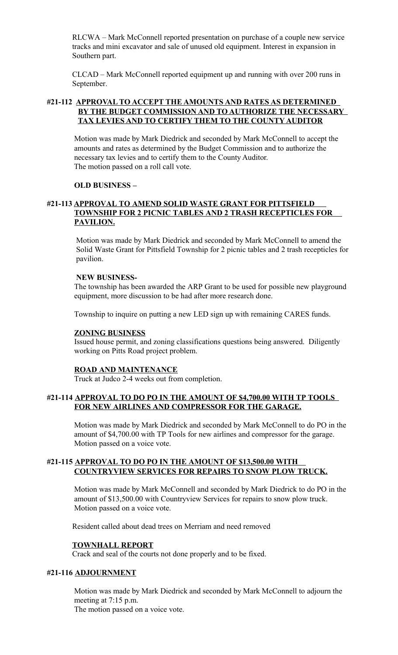RLCWA – Mark McConnell reported presentation on purchase of a couple new service tracks and mini excavator and sale of unused old equipment. Interest in expansion in Southern part.

CLCAD – Mark McConnell reported equipment up and running with over 200 runs in September.

## **#21-112 APPROVAL TO ACCEPT THE AMOUNTS AND RATES AS DETERMINED BY THE BUDGET COMMISSION AND TO AUTHORIZE THE NECESSARY TAX LEVIES AND TO CERTIFY THEM TO THE COUNTY AUDITOR**

 Motion was made by Mark Diedrick and seconded by Mark McConnell to accept the amounts and rates as determined by the Budget Commission and to authorize the necessary tax levies and to certify them to the County Auditor. The motion passed on a roll call vote.

## **OLD BUSINESS –**

## **#21-113 APPROVAL TO AMEND SOLID WASTE GRANT FOR PITTSFIELD TOWNSHIP FOR 2 PICNIC TABLES AND 2 TRASH RECEPTICLES FOR PAVILION.**

Motion was made by Mark Diedrick and seconded by Mark McConnell to amend the Solid Waste Grant for Pittsfield Township for 2 picnic tables and 2 trash recepticles for pavilion.

## **NEW BUSINESS-**

The township has been awarded the ARP Grant to be used for possible new playground equipment, more discussion to be had after more research done.

Township to inquire on putting a new LED sign up with remaining CARES funds.

## **ZONING BUSINESS**

Issued house permit, and zoning classifications questions being answered. Diligently working on Pitts Road project problem.

## **ROAD AND MAINTENANCE**

Truck at Judco 2-4 weeks out from completion.

## **#21-114 APPROVAL TO DO PO IN THE AMOUNT OF \$4,700.00 WITH TP TOOLS FOR NEW AIRLINES AND COMPRESSOR FOR THE GARAGE.**

 Motion was made by Mark Diedrick and seconded by Mark McConnell to do PO in the amount of \$4,700.00 with TP Tools for new airlines and compressor for the garage. Motion passed on a voice vote.

## **#21-115 APPROVAL TO DO PO IN THE AMOUNT OF \$13,500.00 WITH COUNTRYVIEW SERVICES FOR REPAIRS TO SNOW PLOW TRUCK.**

 Motion was made by Mark McConnell and seconded by Mark Diedrick to do PO in the amount of \$13,500.00 with Countryview Services for repairs to snow plow truck. Motion passed on a voice vote.

Resident called about dead trees on Merriam and need removed

## **TOWNHALL REPORT**

Crack and seal of the courts not done properly and to be fixed.

## **#21-116 ADJOURNMENT**

Motion was made by Mark Diedrick and seconded by Mark McConnell to adjourn the meeting at 7:15 p.m. The motion passed on a voice vote.